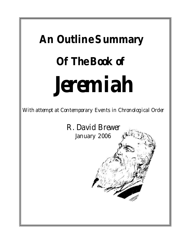## **An Outline Summary Of The Book of Jeremiah**

With attempt at Contemporary Events in Chronological Order

R. David Brewer January 2006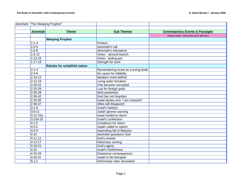|                 | Jeremiah: "The Weeping Prophet"     |                                      |                                                  |
|-----------------|-------------------------------------|--------------------------------------|--------------------------------------------------|
|                 |                                     |                                      |                                                  |
| <b>Jeremiah</b> | <b>Theme</b>                        | <b>Sub Themes</b>                    | <b>Contemporary Events &amp; Passages</b>        |
|                 |                                     |                                      | Josiah's reform - 2 Chronicles 34:3-7 (627 B.C.) |
|                 | <b>Weeping Prophet</b>              |                                      |                                                  |
| $1:1-3$         |                                     | Preface                              |                                                  |
| $1:4-5$         |                                     | Jeremiah's call                      |                                                  |
| $1:6-8$         |                                     | Jeremiah's reluctance                |                                                  |
| $1:9-12$        |                                     | Vision - almond branch               |                                                  |
| $1:13 - 16$     |                                     | Vision - boiling pot                 |                                                  |
| $1:17 - 19$     |                                     | <b>Strength for work</b>             |                                                  |
|                 | <b>Rebuke for unfaithful nation</b> |                                      |                                                  |
| $2:1-3$         |                                     | Remembering Israel as a loving bride |                                                  |
| $2:4-9$         |                                     | No cause for infidelity              |                                                  |
| $2:10-12$       |                                     | Idolaters more faithful              |                                                  |
| $2:13 - 19$     |                                     | Living water forsaken                |                                                  |
| $2:20-22$       |                                     | Vine became corrupted                |                                                  |
| $2:23-25$       |                                     | Lust for foreign gods                |                                                  |
| $2:26-29$       |                                     | <b>Idols powerless</b>               |                                                  |
| $2:30-32$       |                                     | God has not forgotten                |                                                  |
| $2:33-35$       |                                     | Israel denies sins "I am innocent"   |                                                  |
| 2:36,37         |                                     | Allies will disappoint               |                                                  |
| $3:1 - 5$       |                                     | <b>Israel's harlotry</b>             |                                                  |
| $3:6 - 11$      |                                     | Judah ignores warning                |                                                  |
| $3:12 - 22a$    |                                     | Israel invited to return             |                                                  |
| $3:22b-25$      |                                     | <b>Israel's confession</b>           |                                                  |
| 4:1,2           |                                     | Conditions for return                |                                                  |
| 4:3,4           |                                     | Judah called to repent               |                                                  |
| $4:5-9$         |                                     | <b>Impending fall of Babylon</b>     |                                                  |
| 4:10            |                                     | <b>Jeremiah questions God</b>        |                                                  |
| 4:11,12         |                                     | God's answer                         |                                                  |
| 4:13-17         |                                     | Adversary coming                     |                                                  |
| $4:18-21$       |                                     | God's agony                          |                                                  |
| 4:22            |                                     | <b>Israel's foolishness</b>          |                                                  |
| 4:23-29         |                                     | Disastrous consequences              |                                                  |
| 4:30,31         |                                     | Judah to be betrayed                 |                                                  |
| 5:1,2           |                                     | Dishonesty rules Jerusalem           |                                                  |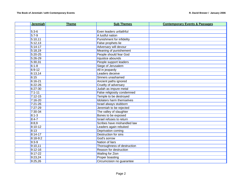| <b>Jeremiah</b> | <b>Theme</b> | <b>Sub Themes</b>                | <b>Contemporary Events &amp; Passages</b> |
|-----------------|--------------|----------------------------------|-------------------------------------------|
|                 |              |                                  |                                           |
| $5:3-6$         |              | Even leaders unfaithful          |                                           |
| $5:7-9$         |              | A lustful nation                 |                                           |
| 5:10,11         |              | <b>Punishment for infidelity</b> |                                           |
| 5:12,13         |              | False prophets lie               |                                           |
| $5:14-17$       |              | Adversary will devour            |                                           |
| 5:18,19         |              | <b>Meaning of punishement</b>    |                                           |
| $5:20 - 25$     |              | People should fear God           |                                           |
| $5:26-29$       |              | Injustice abounds                |                                           |
| 5:30,31         |              | People support leaders           |                                           |
| $6:1 - 8$       |              | Siege of Jerusalem               |                                           |
| $6:9-12$        |              | All in jeopardy                  |                                           |
| 6:13,14         |              | Leaders deceive                  |                                           |
| 6:15            |              | Sinners unashamed                |                                           |
| $6:16 - 21$     |              | Ancient paths ignored            |                                           |
| $6:22 - 26$     |              | Cruelty of adversary             |                                           |
| $6:27-30$       |              | Judah as impure metal            |                                           |
| $7:1 - 11$      |              | False religiosity condemned      |                                           |
| $7:12 - 15$     |              | Temple to be destroyed           |                                           |
| $7:16-20$       |              | <b>Idolaters harm themselves</b> |                                           |
| $7:21 - 26$     |              | Israel always stubborn           |                                           |
| $7:27-29$       |              | Jeremiah to be rejected          |                                           |
| $7:30-34$       |              | The valley of slaughter          |                                           |
| $8:1 - 3$       |              | Bones to be exposed              |                                           |
| $8:4 - 7$       |              | Israel refuses to return         |                                           |
| 8:8,9           |              | Scribes have mishandled law      |                                           |
| $8:10-12$       |              | Leaders again rebuked            |                                           |
| 8:13            |              | Deprivation coming               |                                           |
| $8:14-17$       |              | <b>Destruction for sins</b>      |                                           |
| $8:18-9:2$      |              | God's sorrow                     |                                           |
| $9:3-9$         |              | Nation of liars                  |                                           |
| 9:10,11         |              | Thoroughness of destruction      |                                           |
| $9:12 - 16$     |              | Reason for destruction           |                                           |
| $9:17 - 22$     |              | <b>Wailing for Zion</b>          |                                           |
| 9:23,24         |              | <b>Proper boasting</b>           |                                           |
| 9:25,26         |              | Circumcision no guarantee        |                                           |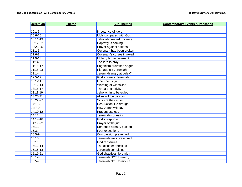| <b>Jeremiah</b> | <b>Theme</b> | <b>Sub Themes</b>               | <b>Contemporary Events &amp; Passages</b> |
|-----------------|--------------|---------------------------------|-------------------------------------------|
|                 |              |                                 |                                           |
| $10:1 - 5$      |              | Impotence of idols              |                                           |
| $10:6 - 10$     |              | <b>Idols compared with God</b>  |                                           |
| $10:11-13$      |              | Jehovah created universe        |                                           |
| 10:17-22        |              | Captivity is coming             |                                           |
| 10:23-25        |              | Prayer against nations          |                                           |
| $11:1-5$        |              | Covenant has been broken        |                                           |
| $11:6-8$        |              | Covenant's curses invoked       |                                           |
| $11:9-13$       |              | Idolatry broke covenant         |                                           |
| 11:14           |              | Too late to pray                |                                           |
| $11:15-17$      |              | Paganism provokes anger         |                                           |
| 11:18-23        |              | Plot against Jeremiah           |                                           |
| $12:1 - 4$      |              | Jeremiah angry at delay?        |                                           |
| $12:5 - 17$     |              | God answers Jeremiah            |                                           |
| $13:1 - 11$     |              | Linen belt sign                 |                                           |
| $13:12 - 14$    |              | Warning of wineskins            |                                           |
| 13:15-17        |              | Threat of captivity             |                                           |
| 13:18,19        |              | Jehojachin to be exiled         |                                           |
| 13:20,21        |              | Allies will be captors          |                                           |
| 13:22-27        |              | Sins are the cause              |                                           |
| $14:1-6$        |              | <b>Destruction like drought</b> |                                           |
| $14:7-9$        |              | How Judah will pay              |                                           |
| 14:10-12        |              | Prayers useless                 |                                           |
| 14:13           |              | Jeremiah's question             |                                           |
| 14:14-18        |              | God's response                  |                                           |
| 14:19-22        |              | Prayer of the just              |                                           |
| 15:1,2          |              | Sentence already passed         |                                           |
| 15:3,4          |              | Four executions                 |                                           |
| $15:5-9$        |              | <b>Compassion prevented</b>     |                                           |
| 15:10           |              | Jeremiah feels pressured        |                                           |
| 15:11           |              | God reassures                   |                                           |
| 15:12-14        |              | The disaster specified          |                                           |
| 15:15-18        |              | Jeremiah complains              |                                           |
| 15:19-21        |              | God chastises Jeremiah          |                                           |
| $16:1 - 4$      |              | Jeremiah NOT to marry           |                                           |
| $16:5 - 7$      |              | Jeremiah NOT to mourn           |                                           |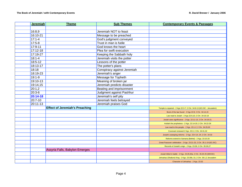| <b>Jeremiah</b> | <b>Theme</b>                          | <b>Sub Themes</b>           | <b>Contemporary Events &amp; Passages</b>                              |
|-----------------|---------------------------------------|-----------------------------|------------------------------------------------------------------------|
|                 |                                       |                             |                                                                        |
| 16:8,9          |                                       | Jeremiah NOT to feast       |                                                                        |
| 16:10-21        |                                       | Message to be preached      |                                                                        |
| $17:1 - 4$      |                                       | God's judgment conveyed     |                                                                        |
| $17:5-8$        |                                       | Trust in man is futile      |                                                                        |
| 17:9-11         |                                       | God knows the heart         |                                                                        |
| 17:12-18        |                                       | Plea for swift execution    |                                                                        |
| 17:19-27        |                                       | Keeping the Sabbath holy    |                                                                        |
| $18:1 - 4$      |                                       | Jeremiah visits the potter  |                                                                        |
| 18:5-12         |                                       | Lessons of the potter       |                                                                        |
| 18:13-17        |                                       | The potter's plans          |                                                                        |
| 18:18           |                                       | Conspiracy against Jeremiah |                                                                        |
| 18:19-23        |                                       | Jeremiah's anger            |                                                                        |
| $19:1-9$        |                                       | <b>Message for Topheth</b>  |                                                                        |
| 19:10-13        |                                       | Meaning of broken jar       |                                                                        |
| 19:14,15        |                                       | Jeremiah predicts disaster  |                                                                        |
| 20:1,2          |                                       | Beating and imprisonment    |                                                                        |
| 20:3-6          |                                       | Judgment against Pashhur    |                                                                        |
| 20:14-18        |                                       | Jeremiah's self pity        |                                                                        |
| 20:7-10         |                                       | Jeremiah feels betrayed     |                                                                        |
| 20:11-13        |                                       | Jeremiah praises God        |                                                                        |
|                 | <b>Effect of Jeremiah's Preaching</b> |                             | Temple is repaired - 2 Kgs 22:3-7; 2 Chr. 34:8-13 (621 BC - Jerusalem) |
|                 |                                       |                             | Book of the law found - 2 Kgs 22:8; 2 Chr. 34:14,15                    |
|                 |                                       |                             | Law read to Josiah - 2 Kgs 22:9,10; 2 Chr. 34:16-18                    |
|                 |                                       |                             | Josiah sees significance - 2 Kgs. 22:11-13; 2 Chr. 34:19-21            |
|                 |                                       |                             | Huldah the prophetess - 2 Kgs. 22:14-20; 2 Chr. 34:22-28               |
|                 |                                       |                             | Law read to the people - 2 Kgs. 23:1-2; 2 Chr. 34:29,30                |
|                 |                                       |                             | Covenant renewed 2 Kgs. 23:3; 2 Chr. 34:31,32                          |
|                 |                                       |                             | Josiah's sweeping reforms - 2 Kgs. 23:4-14; 24; 2 Chr. 34:33           |
|                 |                                       |                             | Reforms extend to Samaria (Bethel) - 2 Kgs. 23:15-20                   |
|                 |                                       |                             | Great Passover celebration - 2 Kgs. 23:21-23; 2 Chr. 35:1-19 (621 BC)  |
|                 |                                       |                             | Records of Josiah's reign - 2 Kgs. 23:28; 2 Chr. 35:26,27              |
|                 | Assyria Falls, Babylon Emerges        |                             |                                                                        |
|                 |                                       |                             | Josiah killed in battle - 2 Kgs. 23:29,30a; 2 Chr. 35:20-25 (609 BC)   |
|                 |                                       |                             | Jehoahaz (Shallum) King - 2 Kgs. 23:30b, 31; 2 Chr. 36:1,2 Jerusalem   |
|                 |                                       |                             | Character of Jehoahaz - 2 Kgs. 23:32                                   |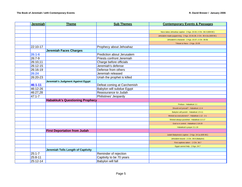| <b>Jeremiah</b> | <b>Theme</b>                           | <b>Sub Themes</b>           | <b>Contemporary Events &amp; Passages</b>                             |
|-----------------|----------------------------------------|-----------------------------|-----------------------------------------------------------------------|
|                 |                                        |                             |                                                                       |
|                 |                                        |                             | Neco takes Jehoahaz captive - 2 Kgs. 23:33; 2 Chr. 36:3 (608 BC)      |
|                 |                                        |                             | Jehoiakim made puppet king - 2 Kgs. 23:34,36; 2 Chr. 36:4,5a (608 BC) |
|                 |                                        |                             | Jehoiakim's character - 2 Kgs. 23:37; 2 Chr. 36:5b                    |
|                 |                                        |                             | Tribute to Neco - 2 Kgs. 23:35                                        |
| 22:10-17        |                                        | Prophecy about Jehoahaz     |                                                                       |
|                 | <b>Jeremiah Faces Charges</b>          |                             |                                                                       |
| $26:1-6$        |                                        | Prediction about Jerusalem  |                                                                       |
| 26:7-9          |                                        | Priests confront Jeremiah   |                                                                       |
| 26:10,11        |                                        | Charge before officials     |                                                                       |
| 26:12-15        |                                        | Jeremiah's defense          |                                                                       |
| 26:16-19        |                                        | Defense from others         |                                                                       |
| 26:24           |                                        | Jeremiah released           |                                                                       |
| 26:20-23        |                                        | Uriah the prophet is killed |                                                                       |
|                 | Jeremiah's Judgment Against Egypt      |                             |                                                                       |
| 46:1-11         |                                        | Defeat coming at Carchemish |                                                                       |
| 46:12-26        |                                        | Babylon will subdue Egypt   |                                                                       |
| 46:27,28        |                                        | Reassurance to Judah        |                                                                       |
| $47:1 - 7$      |                                        | Philistines' Jeopardy       |                                                                       |
|                 | <b>Habakkuk's Questioning Prophecy</b> |                             |                                                                       |
|                 |                                        |                             | Preface - Habakkuk 1:1                                                |
|                 |                                        |                             | Should evil prevail? - Habakkuk 1:2-4                                 |
|                 |                                        |                             | Babylon will punish - Habakkuk 1:5-11                                 |
|                 |                                        |                             | Wicked as executioners? - Habakkuk 1:12 - 2:1                         |
|                 |                                        |                             | Wicked always punished - Habakkuk 2:2-17                              |
|                 |                                        |                             | God is in control - Habakkuk 2:18-20                                  |
|                 |                                        |                             | Habakkuk's prayer 3:1-19                                              |
|                 | <b>First Deportation from Judah</b>    |                             |                                                                       |
|                 |                                        |                             | Judah Babylonia's captive - 2 Kgs. 24:1a (605 BC)                     |
|                 |                                        |                             | Jehoiakim bound - 2 Chr. 36:6 (Babylon)                               |
|                 |                                        |                             | First captives taken -- 2 Chr. 36:7                                   |
|                 |                                        |                             | Egypt cannot help - 2 Kgs. 24:7                                       |
|                 | Jeremiah Tells Length of Captivity     |                             |                                                                       |
| $25:1 - 7$      |                                        | Reminder of rejection       |                                                                       |
| $25:8 - 11$     |                                        | Captivity to be 70 years    |                                                                       |
| $25:12 - 14$    |                                        | Babylon will fall           |                                                                       |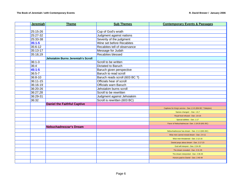| <b>Jeremiah</b> | <b>Theme</b>                       | <b>Sub Themes</b>              | <b>Contemporary Events &amp; Passages</b>                  |
|-----------------|------------------------------------|--------------------------------|------------------------------------------------------------|
|                 |                                    |                                |                                                            |
| 25:15-26        |                                    | Cup of God's wrath             |                                                            |
| 25:27-32        |                                    | Judgment against nations       |                                                            |
| 25:33-38        |                                    | Severity of the judgment       |                                                            |
| $35:1 - 5$      |                                    | Wine set before Recabites      |                                                            |
| 35:6-12         |                                    | Recabites tell of observance   |                                                            |
| 35:13-17        |                                    | Message for Judah              |                                                            |
| 35:18,19        |                                    | <b>Recabites blessed</b>       |                                                            |
|                 | Jehoiakim Burns Jeremiah's Scroll  |                                |                                                            |
| $36:1 - 3$      |                                    | Scroll to be written           |                                                            |
| 36:4            |                                    | Dictated to Baruch             |                                                            |
| $45:1 - 5$      |                                    | Baruch given perspective       |                                                            |
| $36:5 - 7$      |                                    | Baruch to read scroll          |                                                            |
| 36:8-10         |                                    | Baruch reads scroll (603 BC ?) |                                                            |
| 36:11-15        |                                    | Officials hear of scroll       |                                                            |
| 36:16-19        |                                    | <b>Officials warn Baruch</b>   |                                                            |
| 36:20-26        |                                    | Jehoiakim burns scroll         |                                                            |
| 36:27,28        |                                    | Scroll to be rewritten         |                                                            |
| 36:29-31        |                                    | Judgment against Jehoiakim     |                                                            |
| 36:32           |                                    | Scroll is rewritten (603 BC)   |                                                            |
|                 | <b>Daniel the Faithful Captive</b> |                                |                                                            |
|                 |                                    |                                | Captives for King's service - Dan 1:3-5 (604 BC ? Babylon) |
|                 |                                    |                                | Names changed -- Dan. 1:6,7                                |
|                 |                                    |                                | Royal food refused - Dan. 1:8-16                           |
|                 |                                    |                                | Special abilities - Dan. 1:17                              |
|                 |                                    |                                | Favor of Nebuchadnezzar -Dan. 1:18-20 (601 BC)             |
|                 | <b>Nebuchadnezzar's Dream</b>      |                                |                                                            |
|                 |                                    |                                | Nebuchadnezzar has dream - Dan. 2:1-3 (601 BC)             |
|                 |                                    |                                | Wise men cannot reveal dream - Dan. 2:4-11                 |
|                 |                                    |                                | Wise men threatened - Dan. 2:12-16                         |
|                 |                                    |                                | Daniel prays about dream - Dan. 2:17-23                    |
|                 |                                    |                                | God will interpret - Dan. 2:24-30                          |
|                 |                                    |                                | The dream revealed - Dan. 2:31-35                          |
|                 |                                    |                                | The dream interpreted - Dan. 2:36-45                       |
|                 |                                    |                                | Honors paid to Daniel - Dan. 2:46-49                       |
|                 |                                    |                                |                                                            |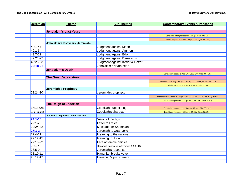| <b>Jeremiah</b> | <b>Theme</b>                         | <b>Sub Themes</b>                      | <b>Contemporary Events &amp; Passages</b>                                   |
|-----------------|--------------------------------------|----------------------------------------|-----------------------------------------------------------------------------|
|                 |                                      |                                        |                                                                             |
|                 | <b>Jehoiakim's Last Years</b>        |                                        |                                                                             |
|                 |                                      |                                        | Jehoiakim attempts rebellion - 2 Kgs. 24:1b (602 BC)                        |
|                 |                                      |                                        | Judah's neighbors harass - 2 Kgs. 24:2-4 (601-597 BC)                       |
|                 | Jehoiakim's last years (Jeremiah)    |                                        |                                                                             |
| 48:1-47         |                                      | Judgment against Moab                  |                                                                             |
| $49:1 - 6$      |                                      | Judgment against Ammon                 |                                                                             |
| 49:7-22         |                                      | Judgment against Edom                  |                                                                             |
| 49:23-27        |                                      | <b>Judgment against Damascus</b>       |                                                                             |
| 49:28-33        |                                      | Judgment against Kedar & Hazor         |                                                                             |
| 22:18-22        |                                      | Jehoiakim's death seen                 |                                                                             |
|                 | <b>Jehoiakim's Death</b>             |                                        |                                                                             |
|                 |                                      |                                        | Jehoiakim's death - 2 Kgs. 24:5,6a; 2 Chr. 36:8a (597 BC)                   |
|                 | <b>The Great Deportation</b>         |                                        |                                                                             |
|                 |                                      |                                        | Jehoiachin child king - 2 Kgs. 24:6b, 8; 2 Chr. 36:8b, 9a (597 BC Jer.)     |
|                 |                                      |                                        | Jehoiachin's character - 2 Kgs. 24:9; 2 Chr. 36:9b                          |
|                 | <b>Jeremiah's Prophecy</b>           |                                        |                                                                             |
| 22:24-30        |                                      | Jeremiah's prophecy                    |                                                                             |
|                 |                                      |                                        | Jehoiachin taken captive - 2 Kgs. 24:10-12; 2 Chr. 36:10; Dan. 1:1 (597 BC) |
|                 |                                      |                                        | The great deportation - 2 Kgs. 24:13-16; Dan. 1:2 (597 BC)                  |
|                 | <b>The Reign of Zedekiah</b>         |                                        |                                                                             |
| 37:1; 52:1      |                                      | Zedekiah puppet king                   | Zedekiah a puppet king - 2 Kgs. 24:17,18; 2 Chr. 36:10-11                   |
| 37:2; 52:2-3    |                                      | Zedekiah's character                   | Zedekiah's character - 1 Kgs. 24:19,20a; 2 Chr. 36:12-16                    |
|                 | Jeremiah's Prophecies Under Zedekiah |                                        |                                                                             |
| $24:1 - 10$     |                                      | Vision of the figs                     |                                                                             |
| 29:1-23         |                                      | Letter to Exiles                       |                                                                             |
| 29:24-32        |                                      | Message for Shemaiah                   |                                                                             |
| $27:1 - 3$      |                                      | Jeremiah to wear yoke                  |                                                                             |
| 27:4-11         |                                      | Meaning to the nations                 |                                                                             |
| 27:12-15        |                                      | Meaning to Judah                       |                                                                             |
| 27:16-22        |                                      | Fate of temple articles                |                                                                             |
| $28:1 - 4$      |                                      | Hananiah contradicts Jeremiah (593 BC) |                                                                             |
| 28:5-9          |                                      | Jeremiah's response                    |                                                                             |
| 28:10,11        |                                      | Hananiah breaks yoke                   |                                                                             |
| 28:12-17        |                                      | Hananiah's punishment                  |                                                                             |
|                 |                                      |                                        |                                                                             |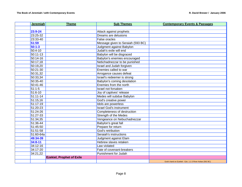| <b>Jeremiah</b> | <b>Theme</b>                     | <b>Sub Themes</b>                 | <b>Contemporary Events &amp; Passages</b>               |
|-----------------|----------------------------------|-----------------------------------|---------------------------------------------------------|
|                 |                                  |                                   |                                                         |
| $23:9 - 24$     |                                  | Attack against prophets           |                                                         |
| 23:25-32        |                                  | Dreams are delusions              |                                                         |
| 23:33-40        |                                  | <b>False oracles</b>              |                                                         |
| 51:59           |                                  | Message given to Seraiah (593 BC) |                                                         |
| $50:1-3$        |                                  | Judgment against Babylon          |                                                         |
| $50:4-10$       |                                  | Judah's exile will end            |                                                         |
| 50:11-13        |                                  | Babylon will be disgraced         |                                                         |
| 50:14-16        |                                  | Babylon's enemies encouraged      |                                                         |
| 50:17,18        |                                  | Nebchadnezzar to be punished      |                                                         |
| 50:19,20        |                                  | <b>Israel and Judah forgiven</b>  |                                                         |
| 50:21-30        |                                  | Enemies called to war             |                                                         |
| 50:31,32        |                                  | Arrogance causes defeat           |                                                         |
| 50:33,34        |                                  | Israel's redeemer is strong       |                                                         |
| 50:35-40        |                                  | Babylon's coming desolation       |                                                         |
| 50:41-46        |                                  | Enemies from the north            |                                                         |
| $51:1-5$        |                                  | Israel not forsaken               |                                                         |
| $51:6-10$       |                                  | Joy of captives' release          |                                                         |
| 51:11-14        |                                  | Medes will subdue Babylon         |                                                         |
| 51:15,16        |                                  | God's creative power              |                                                         |
| 51:17-19        |                                  | Idols are powerless               |                                                         |
| 51:20-23        |                                  | <b>Israel God's instrument</b>    |                                                         |
| 51:24-26        |                                  | Completeness of destruction       |                                                         |
| 51:27-33        |                                  | <b>Strength of the Medes</b>      |                                                         |
| 51:34,35        |                                  | Vengeance on Nebuchadnezzar       |                                                         |
| 51:36-44        |                                  | Babylon's great fall              |                                                         |
| 51:45-50        |                                  | Prepare for return                |                                                         |
| 51:51-58        |                                  | God's retribution                 |                                                         |
| 51:60-64a       |                                  | Seraiah's instructions            |                                                         |
| 49:34-39        |                                  | Judgment against Elam             |                                                         |
| $34:8 - 11$     |                                  | Hebrew slaves retaken             |                                                         |
| 34:12-16        |                                  | Law violated                      |                                                         |
| 34:17-20        |                                  | Fate of covenant-breakers         |                                                         |
| 34:21,22        |                                  | Punishment for Judah              |                                                         |
|                 | <b>Ezekiel, Prophet of Exile</b> |                                   |                                                         |
|                 |                                  |                                   | God's hand on Ezekiel - Ezk. 1:1-3 River Kebar (592 BC) |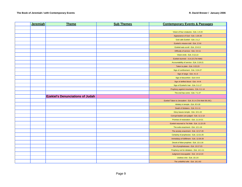| <b>Jeremiah</b> | <b>Theme</b>                            | <b>Sub Themes</b> | <b>Contemporary Events &amp; Passages</b>                 |
|-----------------|-----------------------------------------|-------------------|-----------------------------------------------------------|
|                 |                                         |                   |                                                           |
|                 |                                         |                   | Vision of four creatures - Ezk. 1:4-24                    |
|                 |                                         |                   | Appearance of God - Ezk. 1:25-28                          |
|                 |                                         |                   | God calls Ezekiel - Ezk. 2:1,2                            |
|                 |                                         |                   | Ezekiel's mission told - Ezk. 2:3-8                       |
|                 |                                         |                   | Ezekiel eats scroll - Ezk. 2:9-3:3                        |
|                 |                                         |                   | Difficulty of service - Ezk. 3:4-11                       |
|                 |                                         |                   | Vision ends - Ezk. 3:12,13                                |
|                 |                                         |                   | Ezekiel stunned - 3:14,15 (Tel Abib)                      |
|                 |                                         |                   | Accountability of service - Ezk. 3:16-21                  |
|                 |                                         |                   | Taken to plain - Ezk. 3:22,23                             |
|                 |                                         |                   | Sign of confinement - Ezk. 3:24-27                        |
|                 |                                         |                   | Sign of siege - Ezk. 4:1-3                                |
|                 |                                         |                   | Sign of discomfort - Ezk 4:4-8                            |
|                 |                                         |                   | Sign of defiled blood - Ezk. 4:4-8                        |
|                 |                                         |                   | Sign of Ezekiel's hair - Ezk. 5:1-17                      |
|                 |                                         |                   | Prophecy against mountains - Ezk. 6:1-14                  |
|                 |                                         |                   | The end has come - Ezk. 7:1-27                            |
|                 | <b>Ezekiel's Denunciations of Judah</b> |                   |                                                           |
|                 |                                         |                   | Ezekiel Taken to Jerusalem - Ezk. 8:1-4 (Tel Abib 591 BC) |
|                 |                                         |                   | Idolatry in temple - Ezk. 8:5-18                          |
|                 |                                         |                   | Death of Idolaters - Ezk. 9:1-11                          |
|                 |                                         |                   | Glory leaves temple - Ezk. 10:1-22                        |
|                 |                                         |                   | Corrupt leaders are judged - Ezk. 11:1-13                 |
|                 |                                         |                   | Promise of restoration - Ezk. 11:14-21                    |
|                 |                                         |                   | Ezekiel returned to Tel Abib - Ezk. 11:22-25              |
|                 |                                         |                   | The exile enactment - Ezk. 12:1-16                        |
|                 |                                         |                   | The anxiety enactment - Ezk. 12:17-20                     |
|                 |                                         |                   | Certainty of prophecies - Ezk. 12:21-25                   |
|                 |                                         |                   | Immediacy of fulfillment - Ezk. 12:26-28                  |
|                 |                                         |                   | Deceit of false prophets - Ezk. 13:1-16                   |
|                 |                                         |                   | Sin of prophetesses - Ezk. 13:17-23                       |
|                 |                                         |                   | Prophecy not for idolaters - Ezk. 14:1-11                 |
|                 |                                         |                   | Judgment inescapable - Ezk. 14:12-23                      |
|                 |                                         |                   | Useless vine - Ezk. 15:1-8                                |
|                 |                                         |                   | The unfaithful wife - Ezk. 16:1-63                        |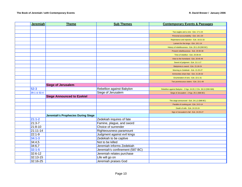| <b>Jeremiah</b> | <b>Theme</b>                              | <b>Sub Themes</b>               | <b>Contemporary Events &amp; Passages</b>                        |
|-----------------|-------------------------------------------|---------------------------------|------------------------------------------------------------------|
|                 |                                           |                                 |                                                                  |
|                 |                                           |                                 | Two eagles and a vine - Ezk. 17:1-24                             |
|                 |                                           |                                 | Personal accountability - Ezk. 18:1-20                           |
|                 |                                           |                                 | Repentance and rejection - Ezk. 18:21-32                         |
|                 |                                           |                                 | Lament for the kings - Ezk. 19:1-14                              |
|                 |                                           |                                 | History of rebelliousness - Ezk. 20:1-29 (590 BC)                |
|                 |                                           |                                 | Present rebelliousness - Ezk. 20:30-38                           |
|                 |                                           |                                 | Time of rebellion - Ezk. 20:39-44                                |
|                 |                                           |                                 | View to the homeland - Ezk. 20:45-49                             |
|                 |                                           |                                 | Sword of judgment - Ezk. 21:1-17                                 |
|                 |                                           |                                 | Babylonia is sword - Ezk. 21:18-24                               |
|                 |                                           |                                 | Warning to Zedekiah - Ezk. 21:25-27                              |
|                 |                                           |                                 | Ammonites share fate - Ezk. 21:28-32                             |
|                 |                                           |                                 | Enumeration of sins - Ezk. 22:1-31                               |
|                 |                                           |                                 | Two promiscuous sisters - Ezk. 23:1-49                           |
|                 | <b>Siege of Jerusalem</b>                 |                                 |                                                                  |
| 52:3            |                                           | Rebellion against Babylon       | Rebellion against Babylon - 2 Kgs. 24:20; 2 Chr. 36:13 (590-589) |
| 39:1 & 52:4     |                                           | Siege of Jerusalem              | Siege of Jerusalem - 2 Kgs. 25:1 (588 BC)                        |
|                 | <b>Siege Announced to Ezekiel</b>         |                                 |                                                                  |
|                 |                                           |                                 | The siege announced - Ezk. 24:1,2 (588 BC)                       |
|                 |                                           |                                 | Parable of cooking pot - Ezk. 24:3-14                            |
|                 |                                           |                                 | Death of wife - Ezk. 24:15-24                                    |
|                 |                                           |                                 | Sign of Jerusalem's fall - Ezk. 24:25-27                         |
|                 | <b>Jeremiah's Prophecies During Siege</b> |                                 |                                                                  |
| $21:1-2$        |                                           | Zedekiah inquires of fate       |                                                                  |
| $21:3 - 7$      |                                           | Famine, plague, and sword       |                                                                  |
| $21:8 - 10$     |                                           | Choice of surrender             |                                                                  |
| 21:11-14        |                                           | Righteousness paramount         |                                                                  |
| 22:1-9          |                                           | Judgment against evil kings     |                                                                  |
| $34:1 - 3$      |                                           | Zedekiah to be captive          |                                                                  |
| 34:4,5          |                                           | Not to be killed                |                                                                  |
| 34:6,7          |                                           | Jeremiah informs Zedekiah       |                                                                  |
| $32:1 - 5$      |                                           | Jeremiah's confinement (587 BC) |                                                                  |
| 32:6-12         |                                           | Jeremiah relates purchase       |                                                                  |
| 32:13-15        |                                           | Life will go on                 |                                                                  |
| 32:16-25        |                                           | Jeremiah praises God            |                                                                  |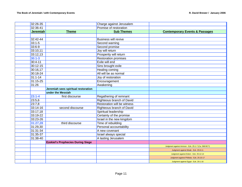| 32:26-35        |                                          | Charge against Jerusalem           |                                                    |
|-----------------|------------------------------------------|------------------------------------|----------------------------------------------------|
| 32:36-41        |                                          | Promise of restoration             |                                                    |
| <b>Jeremiah</b> | <b>Theme</b>                             | <b>Sub Themes</b>                  | <b>Contemporary Events &amp; Passages</b>          |
|                 |                                          |                                    |                                                    |
| 32:42-44        |                                          | <b>Business will revive</b>        |                                                    |
| $33:1 - 5$      |                                          | Second warning                     |                                                    |
| 33:6-9          |                                          | Second promise                     |                                                    |
| 33:10,11        |                                          | Joy will return                    |                                                    |
| 33:12,13        |                                          | Prosperity will return             |                                                    |
| $30:1 - 3$      |                                          | <b>Restoration promises</b>        |                                                    |
| $30:4 - 11$     |                                          | Exile will end                     |                                                    |
| $30:12-15$      |                                          | Sins brought exile                 |                                                    |
| 30:16,17        |                                          | <b>Healing coming</b>              |                                                    |
| 30:18-24        |                                          | All will be as normal              |                                                    |
| $31:1 - 14$     |                                          | Joy of restoration                 |                                                    |
| 31:15-25        |                                          | Encouragement                      |                                                    |
| 31:26           |                                          | Awakening                          |                                                    |
|                 | Jeremiah sees spiritual restoration      |                                    |                                                    |
|                 | under the Messiah                        |                                    |                                                    |
| $23:1 - 4$      | first discourse                          | Regathering of remnant             |                                                    |
| 23:5,6          |                                          | <b>Righteous branch of David</b>   |                                                    |
| 23:7,8          |                                          | <b>Restoration will be witness</b> |                                                    |
| 33:14-16        | second discourse                         | <b>Righteous branch of David</b>   |                                                    |
| 33:17,18        |                                          | Spiritual leadership               |                                                    |
| 33:19-22        |                                          | Certainty of the promise           |                                                    |
| 33:23-26        |                                          | Israel in the new kingdom          |                                                    |
| 31:27,28        | third discourse                          | Time of rebuilding                 |                                                    |
| 31:29,30        |                                          | <b>Personal accountability</b>     |                                                    |
| 31:31-34        |                                          | A new covenant                     |                                                    |
| 31:35-37        |                                          | Israel always special              |                                                    |
| 31:38-40        |                                          | A lasting Jerusalem                |                                                    |
|                 | <b>Ezekiel's Prophecies During Siege</b> |                                    |                                                    |
|                 |                                          |                                    | Judgment against Ammon - Ezk. 25:1-7 (Ca. 588 BC?) |
|                 |                                          |                                    | Judgment against Moab - Ezk. 25:8-11               |
|                 |                                          |                                    | Judgment against Edom - Ezk. 25:12-14              |
|                 |                                          |                                    | Judgment against Philistia - Ezk. 25:15-17         |
|                 |                                          |                                    | Judgment against Egypt - Ezk. 29:1-16              |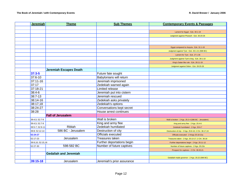| <b>Jeremiah</b> | <b>Theme</b>                  | <b>Sub Themes</b>          | <b>Contemporary Events &amp; Passages</b>             |
|-----------------|-------------------------------|----------------------------|-------------------------------------------------------|
|                 |                               |                            |                                                       |
|                 |                               |                            | Lament for Egypt - Ezk. 30:1-19                       |
|                 |                               |                            | Judgment against Pharaoh - Ezk. 30:20-26              |
|                 |                               |                            |                                                       |
|                 |                               |                            |                                                       |
|                 |                               |                            | Egypt compared to Assyria - Ezk. 31:1-18              |
|                 |                               |                            | Judgment against Tyre - Ezk. 26:1-21 (586 BC)         |
|                 |                               |                            | Lament for Tyre - Ezk. 27:1-36                        |
|                 |                               |                            | Judgment against Tyre's king - Ezk. 28:1-10           |
|                 |                               |                            | King's Satan like rule - Ezk. 28:11-19                |
|                 |                               |                            | Judgment against Sidon - Ezk. 28:20-26                |
|                 | <b>Jeremiah Escapes Death</b> |                            |                                                       |
| 37:3-5          |                               | Future fate sought         |                                                       |
| 37:6-10         |                               | Babylonians will return    |                                                       |
| 37:11-16        |                               | Jeremiah imprisoned        |                                                       |
| 37:17           |                               | Zedekiah warned again      |                                                       |
| 37:18-21        |                               | <b>Limited release</b>     |                                                       |
| 38:4-6          |                               | Jeremiah put into cistern  |                                                       |
| $38:7 - 13$     |                               | Jeremiah rescued           |                                                       |
| 38:14-16        |                               | Zedekiah asks privately    |                                                       |
| 38:17,18        |                               | Zedekiah's options         |                                                       |
| 38:24-27        |                               | Conversations kept secret  |                                                       |
| 38:28           |                               | House arrest continues     |                                                       |
|                 | <b>Fall of Jerusalem</b>      |                            |                                                       |
| 39:4,5; 52:7-9  |                               | Wall is broken             | Wall is broken - 2 Kgs. 25:2-4 (586 BC - Jerusalem)   |
| 39:4,5; 52:7-9  |                               | King and army flee         | King and army flee - 2 Kgs. 25:4-6                    |
| 39:5-7; 52:9-11 | <b>Riblah</b>                 | <b>Zedekiah humiliated</b> | Zedekiah humiliated - 2 Kgs. 25:6-7                   |
| 39:8; 52:12-14  | 586 BC - Jerusalem            | Destruction of city        | Destruction of city - 2 Kgs. 25:8-10; 2 Chr. 36:17,19 |
| 52:24-27        |                               | <b>Officials executed</b>  | Officials executed - 2 Kings 25:18-21a                |
| 52:17-23        | Jerusalem                     | <b>Treasures taken</b>     | Treasures taken - 2 Kgs. 25:13-17; 2 Chr. 36:18       |
|                 | 39:9,10; 52:15,16             | Further deportations begin | Further deportations begin - 2 Kgs. 25:11-12          |
| 52:27-30        | 598-582 BC                    | Number of future captives  | Number of future captives - 2 Kgs. 25:21b             |
|                 |                               |                            | Prospect for captives - 2 Chr. 36:20,21               |
|                 | <b>Gedaliah and Jeremiah</b>  |                            |                                                       |
|                 |                               |                            | Gedaliah made governor - 2 Kgs. 25:22 (586 BC)        |
| 39:15-18        | Jerusalem                     | Jeremiah's prior assurance |                                                       |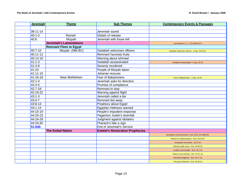| <b>Jeremiah</b> | <b>Theme</b>                   | <b>Sub Themes</b>                       | <b>Contemporary Events &amp; Passages</b>           |
|-----------------|--------------------------------|-----------------------------------------|-----------------------------------------------------|
|                 |                                |                                         |                                                     |
| 39:11-14        |                                | Jeremiah saved                          |                                                     |
| $40:1 - 5$      | Ramah                          | Details of release                      |                                                     |
| 40:6            | Mizpah                         | Jeremiah with those left                |                                                     |
|                 | <b>Jeremiah's Lamentations</b> |                                         | Lamentations 1:1 - 5:22 (586 BC?)                   |
|                 | <b>Remnant Flees to Egypt</b>  |                                         |                                                     |
| 40:7-10         | Mizpah (586 BC)                | Gedaliah welcomes officers              | Gedaliah welcomes officers - 2 Kgs. 25:23,24        |
| 40:11-12        |                                | <b>Remnant harvests fruits</b>          |                                                     |
| 40:13-16        |                                | Warning about Ishmael                   |                                                     |
| $41:1-3$        |                                | Gedaliah assassinated                   | Gedaliah assassinated - 2 Kgs. 25:25                |
| 41:4-9          |                                | Seventy murdered                        |                                                     |
| 41:10           |                                | People of Mizpah taken                  |                                                     |
| 41:11-15        |                                | Johanan rescues                         |                                                     |
| 41:16-18        | Near Bethlehem                 | Fear of Babylonians                     | Fear of Babylonians - 2 Kgs. 25:26                  |
| $42:1 - 4$      |                                | Jeremiah asks for direction             |                                                     |
| $42:4-5$        |                                | Promise of compliance                   |                                                     |
| 42:7-18         |                                | Remnant to stay                         |                                                     |
| 42:19-22        |                                | Warning against flight                  |                                                     |
| $43:1 - 3$      |                                | Jeremiah called a liar                  |                                                     |
| 43:4-7          |                                | Remnant led away                        |                                                     |
| 43:8-13         |                                | Prophecy about Egypt                    |                                                     |
| 44:1-14         |                                | <b>Egyptian Hebrews warned</b>          |                                                     |
| 44:15-19        |                                | People's impudent response              |                                                     |
| 44:20-23        |                                | Paganism Judah's downfall               |                                                     |
| 44:24-28        |                                | Judgment against idolaters              |                                                     |
| 44:29,30        |                                | Pharaoh's fate a sign                   |                                                     |
| 51:64b          |                                | <b>End of Jeremiah's Service</b>        |                                                     |
|                 | <b>The Exiled Nation</b>       | <b>Ezekiel's Restoration Prophecies</b> |                                                     |
|                 |                                |                                         | Jerusalem's fall announced - Ezk. 33:21,22 (586 BC) |
|                 |                                |                                         | Reason for dispossession - Ezk. 33:23-26            |
|                 |                                |                                         | Desolation not ended - 33:27-29                     |
|                 |                                |                                         | Nobody really cares - Ezk. 33:30-33                 |
|                 |                                |                                         | Leaders accountable - Ezk. 34:1-10                  |
|                 |                                |                                         | Nation to be restored - Ezk. 34:11-16               |
|                 |                                |                                         | Individual judgment - Ezk. 34:17-19                 |
|                 |                                |                                         | The good shepherd - Ezk. 34:20-24                   |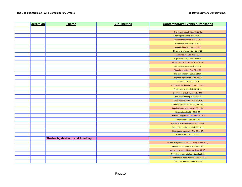| <b>Jeremiah</b> | <b>Theme</b>                    | <b>Sub Themes</b> | <b>Contemporary Events &amp; Passages</b>       |
|-----------------|---------------------------------|-------------------|-------------------------------------------------|
|                 |                                 |                   |                                                 |
|                 |                                 |                   | The new covenant - Ezk. 34:25-31                |
|                 |                                 |                   | Edom's punishment - Ezk. 35:1-15                |
|                 |                                 |                   | Scorn to repay scorn - Ezk. 36:1-7              |
|                 |                                 |                   | Israel to prosper - Ezk. 36:8-12                |
|                 |                                 |                   | Taunts will cease - Ezk. 36:13-15               |
|                 |                                 |                   | Holy name honored - Ezk. 36:16-23               |
|                 |                                 |                   | A new spirit - Ezk. 36:24-32                    |
|                 |                                 |                   | A great replanting - Ezk. 36:33-36              |
|                 |                                 |                   | Repopulation of nation - Ezk. 36:37,38          |
|                 |                                 |                   | Vision of dry bones - Ezk. 37:1-14              |
|                 |                                 |                   | Sign of two sticks - Ezk. 37:15-23              |
|                 |                                 |                   | The new kingdom - Ezk. 37:24-28                 |
|                 |                                 |                   | Judgment against evil - Ezk. 38:1-6             |
|                 |                                 |                   | hordes of evil - Ezk. 38:7-9                    |
|                 |                                 |                   | Evil covets the righteous - Ezk. 38:10-13       |
|                 |                                 |                   | Battle to be a sign - Ezk. 38:14-16             |
|                 |                                 |                   | Destruction of evil - Ezk. 38:17-39:6           |
|                 |                                 |                   | The day is coming - Ezk. 39:7,8                 |
|                 |                                 |                   | Finality of destruction - Ezk. 39:9-16          |
|                 |                                 |                   | Celebration of righteous - Ezk. 39:17-20        |
|                 |                                 |                   | Israel example of judgment - 39:21-24           |
|                 |                                 |                   | Restoration of spirit - 39:25-29                |
|                 |                                 |                   | Lament for Egypt - Ezk. 32:1-16 (585 BC)        |
|                 |                                 |                   | Graves of evil - Ezk. 32:17-32                  |
|                 |                                 |                   | Watchman's accountability - Ezk. 33:1-9         |
|                 |                                 |                   | God hates punishment - Ezk. 33:10,11            |
|                 |                                 |                   | Repentance can save - Ezk. 33:12-16             |
|                 |                                 |                   | God is "just" - Ezk. 33:17-20                   |
|                 | Shadrach, Meshach, and Abednego |                   |                                                 |
|                 |                                 |                   | Golden image erected - Dan. 3:1-3 (Ca. 584 BC?) |
|                 |                                 |                   | Mandate requiring worship - Dan. 3:4-7          |
|                 |                                 |                   | Astrologers accuse Hebrews - Dan. 3:8-12        |
|                 |                                 |                   | Nebuchadnezzar rebuffed - Dan. 3:13-18          |
|                 |                                 |                   | The Three thrown into furnace - Dan. 3:19-23    |
|                 |                                 |                   | The Three rescued -- Dan. 3:24-27               |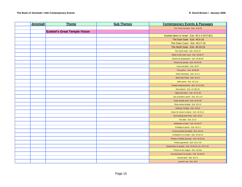| Jeremiah | <b>Theme</b>                         | <b>Sub Themes</b> | <b>Contemporary Events &amp; Passages</b>             |
|----------|--------------------------------------|-------------------|-------------------------------------------------------|
|          |                                      |                   | The Three honored - Dan. 3:28-30                      |
|          | <b>Ezekiel's Great Temple Vision</b> |                   |                                                       |
|          |                                      |                   | Ezekiel taken to Israel - Ezk. 40:1-4 (572 BC)        |
|          |                                      |                   | The East Gate - Ezk. 40:5-16                          |
|          |                                      |                   | The Outer Court - Ezk. 40:17-19                       |
|          |                                      |                   | The North Gate - Ezk. 40:20-23                        |
|          |                                      |                   | The South Gate - Ezk. 40:24-27                        |
|          |                                      |                   | Gates to the inner court - Ezk. 40:28-37              |
|          |                                      |                   | Rooms for preparation - Ezk. 40:38-40                 |
|          |                                      |                   | Rooms for priests - Ezk. 40:44-46                     |
|          |                                      |                   | Court and altar - Ezk. 40:47                          |
|          |                                      |                   | The portico - Ezk. 40:48,49                           |
|          |                                      |                   | Outer sanctuary - Ezk. 41:1,2                         |
|          |                                      |                   | Most Holy Place - Ezk. 41:3,4                         |
|          |                                      |                   | Side rooms - Ezk. 41:5-12                             |
|          |                                      |                   | Temple measurements - Ezk. 41:13-15a                  |
|          |                                      |                   | Decorations - Ezk. 41:15b-20                          |
|          |                                      |                   | Table and doors - Ezk. 41:21-26                       |
|          |                                      |                   | Use of priest's rooms - Ezk. 42:1-14                  |
|          |                                      |                   | Outer temple area - Ezk. 42:15-20                     |
|          |                                      |                   | Glory enters temple - Ezk. 43:1-5                     |
|          |                                      |                   | Holiness Temple - Ezk. 43:6-9                         |
|          |                                      |                   | Vision for sinner's shame - Ezk. 43:10,11             |
|          |                                      |                   | Surrounding area Holy - Ezk. 43:12                    |
|          |                                      |                   | The altar - Ezk. 13-17                                |
|          |                                      |                   | Dedication of altar - Ezk. 43:18-27                   |
|          |                                      |                   | Privilege of prince - Ezk. 44:1-3                     |
|          |                                      |                   | Uncircumcised excluded - Ezk. 44:4-9                  |
|          |                                      |                   | Limitations on Levites - Ezk. 44:10-14                |
|          |                                      |                   | Priests of Zadok ancestry - Ezk. 44:15,16             |
|          |                                      |                   | Priests' garments - Ezk. 44:17-19                     |
|          |                                      |                   | Restrictions on priests - Ezk. 44:20-23, 24, 25-27,31 |
|          |                                      |                   | Priests to be Judges - Ezk. 44:24a                    |
|          |                                      |                   | No possession for priests - Ezk. 44:28-30             |
|          |                                      |                   | Sacred land - Ezk. 45:1-5                             |
|          |                                      |                   | Land for city - Ezk. 45:6                             |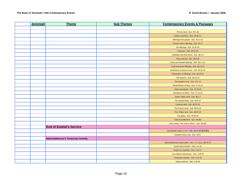| Jeremiah | <b>Theme</b>                               | <b>Sub Themes</b> | <b>Contemporary Events &amp; Passages</b>              |
|----------|--------------------------------------------|-------------------|--------------------------------------------------------|
|          |                                            |                   |                                                        |
|          |                                            |                   | Prince's land - Ezk. 45:7,8a                           |
|          |                                            |                   | Justice of princes - Ezk. 45:8b-12                     |
|          |                                            |                   | Offerings from people - Ezk. 45:13-16                  |
|          |                                            |                   | Prince's role in offerings - Ezk. 45:17                |
|          |                                            |                   | Sin offerings - Ezk. 45:18-20                          |
|          |                                            |                   | Passover - Ezk. 45:21-25                               |
|          |                                            |                   | Sabbaths and New Moon - Ezk. 46:1-8                    |
|          |                                            |                   | Entry and exit - Ezk. 46:9,10                          |
|          |                                            |                   | Grain and freewill offerings - Ezk. 46:11,12           |
|          |                                            |                   | Grain and burnt offerings - Ezk. 46:13-15              |
|          |                                            |                   | Inheritance to prince's sons - Ezk. 46:16-18           |
|          |                                            |                   | Preparation of offerings - Ezk. 46:19,20               |
|          |                                            |                   | The kitchens - Ezk. 46:21-24                           |
|          |                                            |                   | The temple's river - Ezk. 47:1-12                      |
|          |                                            |                   | Equal division of land - Ezk. 47:13,14                 |
|          |                                            |                   | Outer boundaries - Ezk. 47:15-20                       |
|          |                                            |                   | Inheritance of Aliens - Ezk. 47:21-23                  |
|          |                                            |                   | Seven Tribes' land - Ezk. 48:1-7                       |
|          |                                            |                   | The sacred lands - Ezk. 48:8-14                        |
|          |                                            |                   | Common land - Ezk. 48:15-20                            |
|          |                                            |                   | The Prince's land - Ezk. 48:21,22                      |
|          |                                            |                   | Five Tribes' land - Ezk. 48:23-29                      |
|          |                                            |                   | City gates - Ezk. 48:30-34                             |
|          |                                            |                   | Total circumference - Ezk. 48:35a                      |
|          |                                            |                   | City's name "The Lord is There" - Ezk. 48:35b          |
|          | <b>End of Ezekiel's Service</b>            |                   |                                                        |
|          |                                            |                   | Unprofitable siege of Tyre - Ezk. 29:17-20 (570 BC)    |
|          |                                            |                   | Ezekiel's future role - Ezk. 29:21                     |
|          | <b>Nebuchadnezzar's Temporary Insanity</b> |                   |                                                        |
|          |                                            |                   | Nebuchadnezzar issues edict - Dan. 4:1-3 (Ca. 562 BC?) |
|          |                                            |                   | Daniel told of dream - Dan. 4:4-18                     |
|          |                                            |                   | Dream is a warning - Dan. 4:19-27                      |
|          |                                            |                   | Year without repentance - Dan. 4:28-30                 |
|          |                                            |                   | Temporary insanity - Dan. 4:31-33                      |
|          |                                            |                   | Sanity restored - Dan. 4:34,35                         |